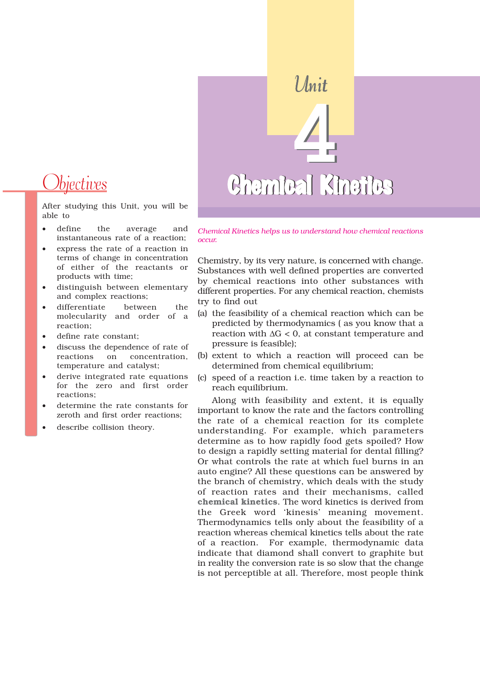# *Dbjectives*

After studying this Unit, you will be able to

- define the average and instantaneous rate of a reaction;
- express the rate of a reaction in terms of change in concentration of either of the reactants or products with time;
- distinguish between elementary and complex reactions;
- differentiate between the molecularity and order of a reaction;
- define rate constant;
- discuss the dependence of rate of reactions on concentration, temperature and catalyst;
- derive integrated rate equations for the zero and first order reactions;
- determine the rate constants for zeroth and first order reactions;
- describe collision theory.

# 4 Chemical Kinetics Unit 4 Chemical Kinetics

*Chemical Kinetics helps us to understand how chemical reactions occur.*

Chemistry, by its very nature, is concerned with change. Substances with well defined properties are converted by chemical reactions into other substances with different properties. For any chemical reaction, chemists try to find out

- (a) the feasibility of a chemical reaction which can be predicted by thermodynamics ( as you know that a reaction with  $\Delta G < 0$ , at constant temperature and pressure is feasible);
- (b) extent to which a reaction will proceed can be determined from chemical equilibrium;
- (c) speed of a reaction i.e. time taken by a reaction to reach equilibrium.

Along with feasibility and extent, it is equally important to know the rate and the factors controlling the rate of a chemical reaction for its complete understanding. For example, which parameters determine as to how rapidly food gets spoiled? How to design a rapidly setting material for dental filling? Or what controls the rate at which fuel burns in an auto engine? All these questions can be answered by the branch of chemistry, which deals with the study of reaction rates and their mechanisms, called **chemical kinetics**. The word kinetics is derived from the Greek word 'kinesis' meaning movement. Thermodynamics tells only about the feasibility of a reaction whereas chemical kinetics tells about the rate of a reaction. For example, thermodynamic data indicate that diamond shall convert to graphite but in reality the conversion rate is so slow that the change is not perceptible at all. Therefore, most people think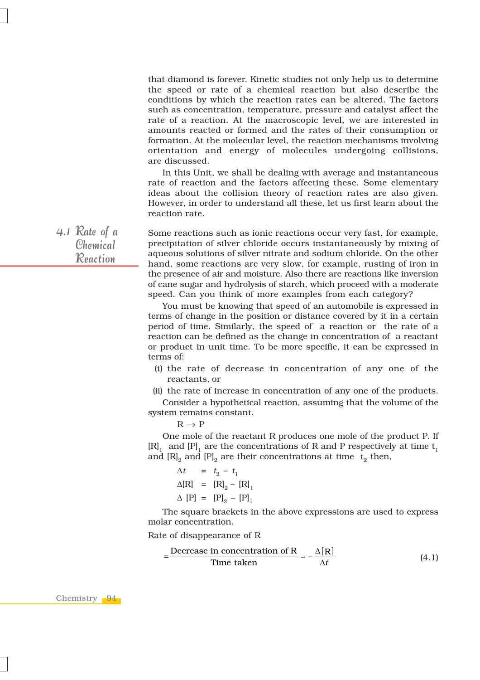that diamond is forever. Kinetic studies not only help us to determine the speed or rate of a chemical reaction but also describe the conditions by which the reaction rates can be altered. The factors such as concentration, temperature, pressure and catalyst affect the rate of a reaction. At the macroscopic level, we are interested in amounts reacted or formed and the rates of their consumption or formation. At the molecular level, the reaction mechanisms involving orientation and energy of molecules undergoing collisions, are discussed.

In this Unit, we shall be dealing with average and instantaneous rate of reaction and the factors affecting these. Some elementary ideas about the collision theory of reaction rates are also given. However, in order to understand all these, let us first learn about the reaction rate.

4.1 Rate of a Chemical Reaction

Some reactions such as ionic reactions occur very fast, for example, precipitation of silver chloride occurs instantaneously by mixing of aqueous solutions of silver nitrate and sodium chloride. On the other hand, some reactions are very slow, for example, rusting of iron in the presence of air and moisture. Also there are reactions like inversion of cane sugar and hydrolysis of starch, which proceed with a moderate speed. Can you think of more examples from each category?

You must be knowing that speed of an automobile is expressed in terms of change in the position or distance covered by it in a certain period of time. Similarly, the speed of a reaction or the rate of a reaction can be defined as the change in concentration of a reactant or product in unit time. To be more specific, it can be expressed in terms of:

- (i) the rate of decrease in concentration of any one of the reactants, or
- (ii) the rate of increase in concentration of any one of the products.

Consider a hypothetical reaction, assuming that the volume of the system remains constant.

 $R \rightarrow P$ 

One mole of the reactant R produces one mole of the product P. If  $[R]$ , and  $[P]$ , are the concentrations of R and P respectively at time t<sub>1</sub> and  $[R]_2$  and  $[P]_2$  are their concentrations at time  $t_2$  then,

$$
\Delta t = t_2 - t_1
$$
  
\n
$$
\Delta[R] = [R]_2 - [R]_1
$$
  
\n
$$
\Delta [P] = [P]_2 - [P]_1
$$

The square brackets in the above expressions are used to express molar concentration.

Rate of disappearance of R

$$
=\frac{\text{Decrease in concentration of R}}{\text{Time taken}} = -\frac{\Delta[R]}{\Delta t}
$$
 (4.1)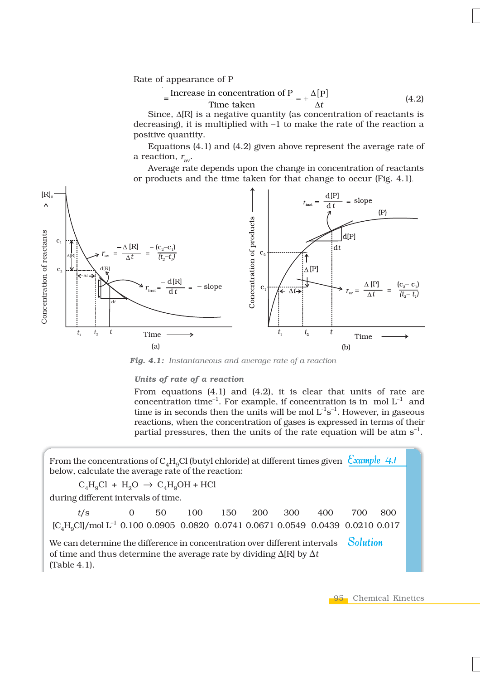Rate of appearance of P

$$
= \frac{\text{Increase in concentration of P}}{\text{Time taken}} = +\frac{\Delta[P]}{\Delta t}
$$
 (4.2)

Since, Δ[R] is a negative quantity (as concentration of reactants is decreasing), it is multiplied with –1 to make the rate of the reaction a positive quantity.

Equations (4.1) and (4.2) given above represent the average rate of a reaction,  $r_{av}$ .

Average rate depends upon the change in concentration of reactants or products and the time taken for that change to occur (Fig. 4.1).



*Fig. 4.1: Instantaneous and average rate of a reaction*

#### *Units of rate of a reaction*

From equations (4.1) and (4.2), it is clear that units of rate are concentration time<sup>-1</sup>. For example, if concentration is in mol  $L^{-1}$  and time is in seconds then the units will be mol  $L^{-1}s^{-1}$ . However, in gaseous reactions, when the concentration of gases is expressed in terms of their partial pressures, then the units of the rate equation will be atm  $s^{-1}$ .

From the concentrations of C<sub>4</sub>H<sub>9</sub>Cl (butyl chloride) at different times given  $\frac{Cxample 4.1}{Cxample 4.1}$ below, calculate the average rate of the reaction:

 $C_4H_9Cl + H_2O \rightarrow C_4H_9OH + HCl$ 

during different intervals of time.

| t/s 0 50 100 150 200 300 400 700 800                                                                                                                                                           |  |  |  |  |  |
|------------------------------------------------------------------------------------------------------------------------------------------------------------------------------------------------|--|--|--|--|--|
| $\text{[C}_{A}\text{H}_{o}\text{Cl}/\text{mol} \text{L}^{-1}$ 0.100 0.0905 0.0820 0.0741 0.0671 0.0549 0.0439 0.0210 0.017                                                                     |  |  |  |  |  |
| We can determine the difference in concentration over different intervals $\sim$ Solution<br>of time and thus determine the average rate by dividing $\Delta[R]$ by $\Delta t$<br>(Table 4.1). |  |  |  |  |  |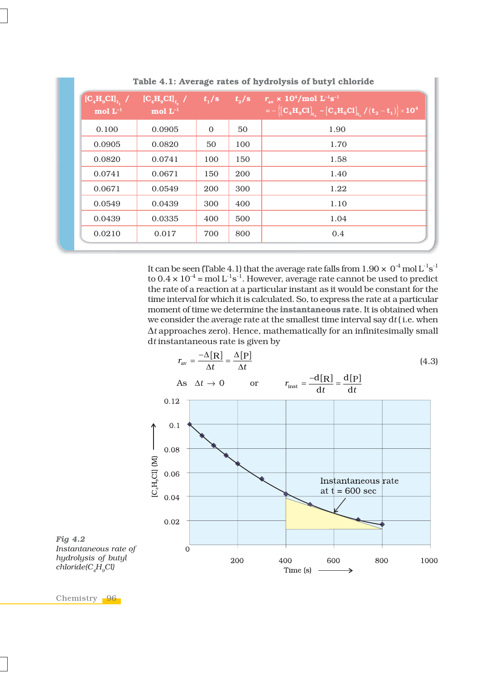| $\left[\mathbf{C}_4\mathbf{H}_9\mathbf{C}\mathbf{I}\right]_{t_1}$ /<br>mol $\mathbf{L}^{-1}$ | $\left[\mathbf{C}_4\mathbf{H}_9\mathbf{C}\mathbf{I}\right]_{t_2}$ /<br>mol $L^{-1}$ | $t_{\rm i}/\rm{s}$ | $t_{2}/s$ | $r_{\rm av} \times 10^4/\text{mol} \text{ L}^{-1}\text{s}^{-1}$<br>$\mathbf{C} = -\left\{ \left[ \mathbf{C_4H_9Cl} \right]_{t_2} - \left[ \mathbf{C_4H_9Cl} \right]_{t_1} / (\mathbf{t}_2 - \mathbf{t}_1) \right\} \times 10^4$ |
|----------------------------------------------------------------------------------------------|-------------------------------------------------------------------------------------|--------------------|-----------|---------------------------------------------------------------------------------------------------------------------------------------------------------------------------------------------------------------------------------|
| 0.100                                                                                        | 0.0905                                                                              | $\mathbf{0}$       | 50        | 1.90                                                                                                                                                                                                                            |
| 0.0905                                                                                       | 0.0820                                                                              | 50                 | 100       | 1.70                                                                                                                                                                                                                            |
| 0.0820                                                                                       | 0.0741                                                                              | 100                | 150       | 1.58                                                                                                                                                                                                                            |
| 0.0741                                                                                       | 0.0671                                                                              | 150                | 200       | 1.40                                                                                                                                                                                                                            |
| 0.0671                                                                                       | 0.0549                                                                              | 200                | 300       | 1.22                                                                                                                                                                                                                            |
| 0.0549                                                                                       | 0.0439                                                                              | 300                | 400       | 1.10                                                                                                                                                                                                                            |
| 0.0439                                                                                       | 0.0335                                                                              | 400                | 500       | 1.04                                                                                                                                                                                                                            |
| 0.0210                                                                                       | 0.017                                                                               | 700                | 800       | 0.4                                                                                                                                                                                                                             |
|                                                                                              |                                                                                     |                    |           |                                                                                                                                                                                                                                 |

**Table 4.1: Average rates of hydrolysis of butyl chloride**

It can be seen (Table 4.1) that the average rate falls from 1.90  $\times$  0<sup>-4</sup> mol L<sup>-1</sup>s<sup>-1</sup> to 0.4  $\times$  10<sup>-4</sup> = mol L<sup>-1</sup>s<sup>-1</sup>. However, average rate cannot be used to predict the rate of a reaction at a particular instant as it would be constant for the time interval for which it is calculated. So, to express the rate at a particular moment of time we determine the **instantaneous rate**. It is obtained when we consider the average rate at the smallest time interval say d*t* ( i.e. when Δ*t* approaches zero). Hence, mathematically for an infinitesimally small d*t* instantaneous rate is given by



*Fig 4.2 Instantaneous rate of hydrolysis of butyl chloride(C4H9Cl)*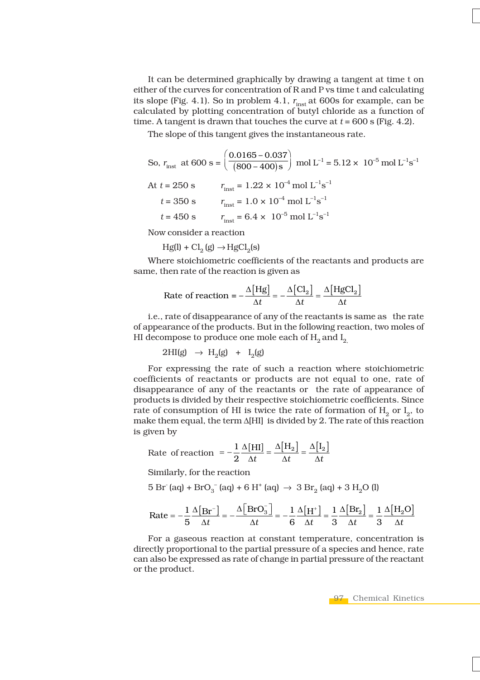It can be determined graphically by drawing a tangent at time t on either of the curves for concentration of R and P vs time t and calculating its slope (Fig. 4.1). So in problem 4.1,  $r_{inst}$  at 600s for example, can be calculated by plotting concentration of butyl chloride as a function of time. A tangent is drawn that touches the curve at  $t = 600$  s (Fig. 4.2).

The slope of this tangent gives the instantaneous rate.

So, 
$$
r_{\text{inst}}
$$
 at 600 s =  $\left(\frac{0.0165 - 0.037}{(800 - 400)s}\right)$  mol L<sup>-1</sup> = 5.12 x 10<sup>-5</sup> mol L<sup>-1</sup>s<sup>-1</sup>  
At t = 250 s  $r_{\text{inst}} = 1.22 \times 10^{-4}$  mol L<sup>-1</sup>s<sup>-1</sup>  
t = 350 s  $r_{\text{inst}} = 1.0 \times 10^{-4}$  mol L<sup>-1</sup>s<sup>-1</sup>  
t = 450 s  $r_{\text{inst}} = 6.4 \times 10^{-5}$  mol L<sup>-1</sup>s<sup>-1</sup>

Now consider a reaction

 $Hg(1) + Cl<sub>2</sub>(g) \rightarrow HgCl<sub>2</sub>(s)$ 

Where stoichiometric coefficients of the reactants and products are same, then rate of the reaction is given as

Rate of reaction 
$$
= -\frac{\Delta[\text{Hg}]}{\Delta t} = -\frac{\Delta[\text{Cl}_2]}{\Delta t} = \frac{\Delta[\text{HgCl}_2]}{\Delta t}
$$

i.e., rate of disappearance of any of the reactants is same as the rate of appearance of the products. But in the following reaction, two moles of HI decompose to produce one mole each of  $H_2$  and  $I_2$ 

$$
2\mathrm{HI}(g) \rightarrow \mathrm{H}_2(g) + \mathrm{I}_2(g)
$$

For expressing the rate of such a reaction where stoichiometric coefficients of reactants or products are not equal to one, rate of disappearance of any of the reactants or the rate of appearance of products is divided by their respective stoichiometric coefficients. Since rate of consumption of HI is twice the rate of formation of  $H_0$  or  $I_0$ , to make them equal, the term Δ[HI] is divided by 2. The rate of this reaction is given by

Rate of reaction 
$$
= -\frac{1}{2} \frac{\Delta[HI]}{\Delta t} = \frac{\Delta[H_2]}{\Delta t} = \frac{\Delta[I_2]}{\Delta t}
$$

Similarly, for the reaction

5 Br<sup>-</sup> (aq) + BrO<sub>3</sub><sup>-</sup> (aq) + 6 H<sup>+</sup> (aq)  $\rightarrow$  3 Br<sub>2</sub> (aq) + 3 H<sub>2</sub>O (l)

$$
\text{Rate} = -\frac{1}{5} \frac{\Delta [\text{Br}^{-}]}{\Delta t} = -\frac{\Delta [\text{BrO}_{3}^{-}]}{\Delta t} = -\frac{1}{6} \frac{\Delta [\text{H}^{+}]}{\Delta t} = \frac{1}{3} \frac{\Delta [\text{Br}_{2}]}{\Delta t} = \frac{1}{3} \frac{\Delta [\text{H}_{2} \text{O}]}{\Delta t}
$$

For a gaseous reaction at constant temperature, concentration is directly proportional to the partial pressure of a species and hence, rate can also be expressed as rate of change in partial pressure of the reactant or the product.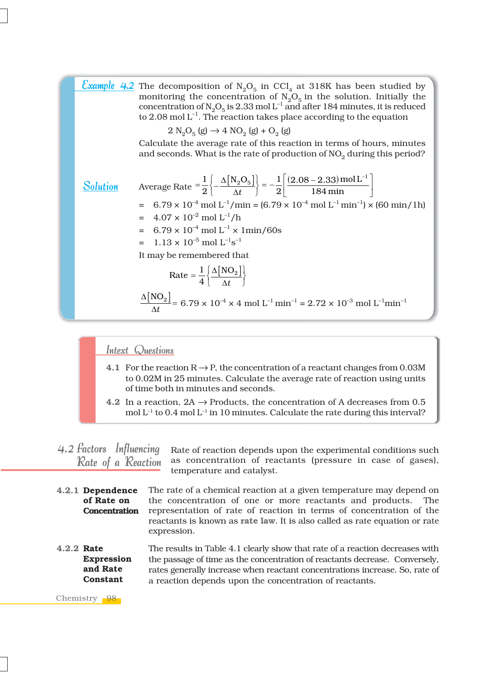|                 | <b>Example 4.2</b> The decomposition of $N_2O_5$ in CCl <sub>4</sub> at 318K has been studied by<br>monitoring the concentration of $N_2O_5$ in the solution. Initially the<br>concentration of $N_2O_5$ is 2.33 mol L <sup>-1</sup> and after 184 minutes, it is reduced<br>to 2.08 mol $L^{-1}$ . The reaction takes place according to the equation |
|-----------------|--------------------------------------------------------------------------------------------------------------------------------------------------------------------------------------------------------------------------------------------------------------------------------------------------------------------------------------------------------|
|                 | $2 N_2 O_5(g) \rightarrow 4 NO_2(g) + O_2(g)$                                                                                                                                                                                                                                                                                                          |
|                 | Calculate the average rate of this reaction in terms of hours, minutes<br>and seconds. What is the rate of production of $NO2$ during this period?                                                                                                                                                                                                     |
| <b>Solution</b> | Average Rate $=$ $\frac{1}{2} \left\{ -\frac{\Delta [N_2O_5]}{\Delta t} \right\} = -\frac{1}{2} \left  \frac{(2.08 - 2.33) \text{ mol L}^{-1}}{184 \text{ min}} \right $                                                                                                                                                                               |
|                 | $= 6.79 \times 10^{-4}$ mol L <sup>-1</sup> /min = $(6.79 \times 10^{-4}$ mol L <sup>-1</sup> min <sup>-1</sup> ) × $(60 \text{ min}/1h)$                                                                                                                                                                                                              |
|                 | $= 4.07 \times 10^{-2}$ mol L <sup>-1</sup> /h<br>$= 6.79 \times 10^{-4}$ mol $L^{-1} \times 1$ min/60s                                                                                                                                                                                                                                                |
|                 | $= 1.13 \times 10^{-5}$ mol $L^{-1}$ s <sup>-1</sup>                                                                                                                                                                                                                                                                                                   |
|                 | It may be remembered that                                                                                                                                                                                                                                                                                                                              |
|                 | Rate = $\frac{1}{4} \left\{ \frac{\Delta \left[ NO_{2} \right] }{\Delta t} \right\}$                                                                                                                                                                                                                                                                   |
|                 | $\frac{\Delta [N O_2]}{1.4}$ = 6.79 x 10 <sup>-4</sup> x 4 mol L <sup>-1</sup> min <sup>-1</sup> = 2.72 x 10 <sup>-3</sup> mol L <sup>-1</sup> min <sup>-1</sup>                                                                                                                                                                                       |

### Intext Questions

- **4.1** For the reaction  $R \rightarrow P$ , the concentration of a reactant changes from 0.03M to 0.02M in 25 minutes. Calculate the average rate of reaction using units of time both in minutes and seconds.
- **4.2** In a reaction,  $2A \rightarrow$  Products, the concentration of A decreases from 0.5 mol  $L^{-1}$  to 0.4 mol  $L^{-1}$  in 10 minutes. Calculate the rate during this interval?

Rate of reaction depends upon the experimental conditions such as concentration of reactants (pressure in case of gases), temperature and catalyst. 4.2 Factors Influencing Rate of a Reaction

- The rate of a chemical reaction at a given temperature may depend on the concentration of one or more reactants and products. The representation of rate of reaction in terms of concentration of the reactants is known as **rate law**. It is also called as rate equation or rate expression. **4.2.1 Dependence of Rate on Concentration**
- The results in Table 4.1 clearly show that rate of a reaction decreases with the passage of time as the concentration of reactants decrease. Conversely, rates generally increase when reactant concentrations increase. So, rate of a reaction depends upon the concentration of reactants. **4.2.2 Rate Expression and Rate Constant**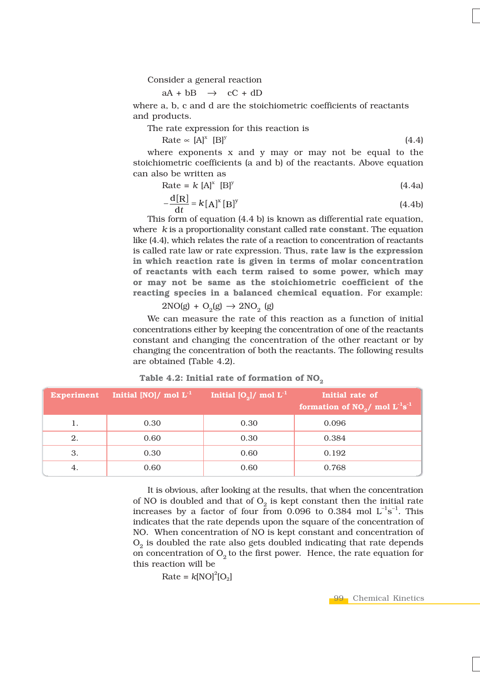Consider a general reaction

 $aA + bB \rightarrow cC + dD$ 

where a, b, c and d are the stoichiometric coefficients of reactants and products.

The rate expression for this reaction is

Rate «  $[A]^x$   $[]$ <sup>y</sup>  $[]$ <sup>y</sup> (4.4)

where exponents x and y may or may not be equal to the stoichiometric coefficients (a and b) of the reactants. Above equation can also be written as

Rate = 
$$
k [A]^x [B]^y
$$
 (4.4a)

$$
-\frac{\mathrm{d}[R]}{\mathrm{d}t} = k[A]^x [B]^y \tag{4.4b}
$$

This form of equation (4.4 b) is known as differential rate equation, where *k* is a proportionality constant called **rate constant**. The equation like (4.4), which relates the rate of a reaction to concentration of reactants is called rate law or rate expression. Thus, **rate law is the expression in which reaction rate is given in terms of molar concentration of reactants with each term raised to some power, which may or may not be same as the stoichiometric coefficient of the reacting species in a balanced chemical equation**. For example:

 $2NO(g) + O<sub>2</sub>(g) \rightarrow 2NO<sub>2</sub>(g)$ 

We can measure the rate of this reaction as a function of initial concentrations either by keeping the concentration of one of the reactants constant and changing the concentration of the other reactant or by changing the concentration of both the reactants. The following results are obtained (Table 4.2).

Table 4.2: Initial rate of formation of NO<sub>2</sub>

|    | Experiment Initial [NO]/ mol $L^{-1}$ | Initial $[O_2]/\text{ mol L}^{-1}$ | Initial rate of<br>formation of $NO_2/$ mol $L^{-1}s^{-1}$ |
|----|---------------------------------------|------------------------------------|------------------------------------------------------------|
| 1. | 0.30                                  | 0.30                               | 0.096                                                      |
| 2. | 0.60                                  | 0.30                               | 0.384                                                      |
| 3. | 0.30                                  | 0.60                               | 0.192                                                      |
| 4. | 0.60                                  | 0.60                               | 0.768                                                      |

It is obvious, after looking at the results, that when the concentration of NO is doubled and that of  $O<sub>2</sub>$  is kept constant then the initial rate increases by a factor of four from 0.096 to 0.384 mol  $L^{-1}s^{-1}$ . This indicates that the rate depends upon the square of the concentration of NO. When concentration of NO is kept constant and concentration of  $O<sub>2</sub>$  is doubled the rate also gets doubled indicating that rate depends on concentration of  $O<sub>2</sub>$  to the first power. Hence, the rate equation for this reaction will be

$$
Rate = k[NO]^2[O_2]
$$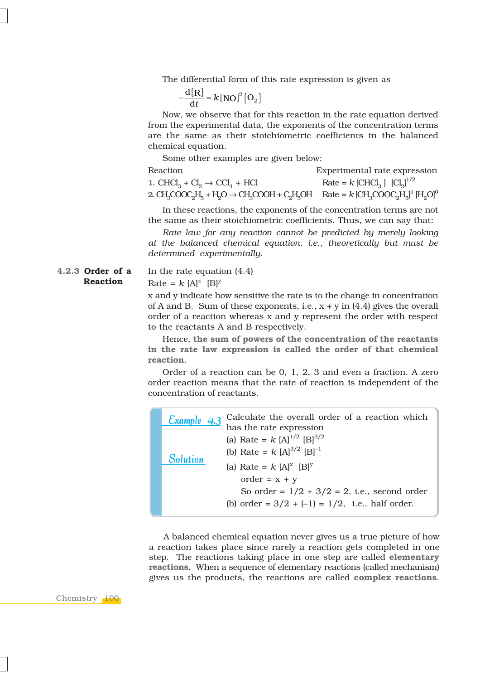The differential form of this rate expression is given as

 $\frac{d[R]}{dt} = k[NO]^2 [O_2]$  $-\frac{d[\mathbf{x}]}{dt} = k$ 

Now, we observe that for this reaction in the rate equation derived from the experimental data, the exponents of the concentration terms are the same as their stoichiometric coefficients in the balanced chemical equation.

Some other examples are given below:

Reaction Experimental rate expression **1.** CHCl<sub>3</sub> + Cl<sub>3</sub>  $\rightarrow$  CCl<sub>4</sub> + HCl Rate =  $k$  [CHCl<sub>2</sub>] [Cl<sub>3</sub>]<sup> $1/2$ </sup> **2.** CH<sub>3</sub>COOC<sub>2</sub>H<sub>5</sub> + H<sub>2</sub>O  $\rightarrow$  CH<sub>3</sub>COOH + C<sub>2</sub>H<sub>5</sub>OH Rate = *k* [CH<sub>3</sub>COOC<sub>2</sub>H<sub>5</sub>]<sup>1</sup> [H<sub>2</sub>O]<sup>0</sup>

In these reactions, the exponents of the concentration terms are not the same as their stoichiometric coefficients. Thus, we can say that:

*Rate law for any reaction cannot be predicted by merely looking at the balanced chemical equation, i.e., theoretically but must be determined experimentally*.

**4.2.3 Order of a Reaction**

In the rate equation (4.4) Rate =  $k$  [A]<sup>x</sup> [B]<sup>y</sup>

x and y indicate how sensitive the rate is to the change in concentration of A and B. Sum of these exponents, i.e.,  $x + y$  in (4.4) gives the overall order of a reaction whereas x and y represent the order with respect to the reactants A and B respectively.

Hence, **the sum of powers of the concentration of the reactants in the rate law expression is called the order of that chemical reaction**.

Order of a reaction can be 0, 1, 2, 3 and even a fraction. A zero order reaction means that the rate of reaction is independent of the concentration of reactants.

| Calculate the overall order of a reaction which<br>Example 4.3<br>has the rate expression                   |  |
|-------------------------------------------------------------------------------------------------------------|--|
| (a) Rate = $k$ [A] <sup>1/2</sup> [B] <sup>3/2</sup><br>(b) Rate = $k$ [A] <sup>3/2</sup> [B] <sup>-1</sup> |  |
| Solution<br>(a) Rate = $k$ [A] <sup>x</sup> [B] <sup>y</sup><br>$order = x + y$                             |  |
| So order = $1/2 + 3/2 = 2$ , i.e., second order<br>(b) order = $3/2 + (-1) = 1/2$ , i.e., half order.       |  |

A balanced chemical equation never gives us a true picture of how a reaction takes place since rarely a reaction gets completed in one step. The reactions taking place in one step are called **elementary reactions**. When a sequence of elementary reactions (called mechanism) gives us the products, the reactions are called **complex reactions**.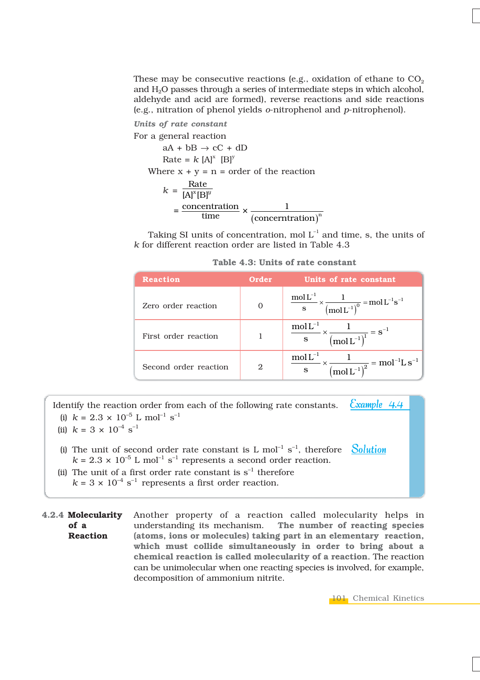These may be consecutive reactions (e.g., oxidation of ethane to  $CO<sub>2</sub>$ ) and H2O passes through a series of intermediate steps in which alcohol, aldehyde and acid are formed), reverse reactions and side reactions (e.g., nitration of phenol yields *o*-nitrophenol and *p*-nitrophenol).

*Units of rate constant*

For a general reaction  $aA + bB \rightarrow cC + dD$ Rate =  $k$   $[A]^x$   $[B]^y$ Where  $x + y = n =$  order of the reaction  $k = \frac{\text{Rate}}{\text{IA}^{\text{X}}\text{IB}}$  $[A]^x[B]^y$  $=\frac{\text{concentration}}{\text{time}} \times \frac{1}{(\text{concentration})^n}$ 

Taking SI units of concentration, mol  $L^{-1}$  and time, s, the units of *k* for different reaction order are listed in Table 4.3

|  |  |  |  |  | Table 4.3: Units of rate constant |
|--|--|--|--|--|-----------------------------------|
|--|--|--|--|--|-----------------------------------|

| <b>Reaction</b>       | Order | Units of rate constant                                                                                                                      |
|-----------------------|-------|---------------------------------------------------------------------------------------------------------------------------------------------|
| Zero order reaction   |       | $\frac{\text{mol} \, \text{L}^{-1}}{\text{s}} \times \frac{1}{(\text{mol} \, \text{L}^{-1})^0} = \text{mol} \, \text{L}^{-1} \text{s}^{-1}$ |
| First order reaction  |       | $mol-1$<br>$\frac{1}{\sqrt{1 + \left(\text{mol} \, L^{-1}\right)^{1}}} = s^{-1}$                                                            |
| Second order reaction | 2     | $\frac{\text{mol L}^{-1}}{\text{s}} \times \frac{1}{(\text{mol L}^{-1})^2} = \text{mol}^{-1} \text{L s}^{-1}$                               |

Example 4.4 Identify the reaction order from each of the following rate constants. (i)  $k = 2.3 \times 10^{-5}$  L mol<sup>-1</sup> s<sup>-1</sup>

- (ii)  $k = 3 \times 10^{-4} \text{ s}^{-1}$
- **Solution** (i) The unit of second order rate constant is L  $mol^{-1} s^{-1}$ , therefore  $k = 2.3 \times 10^{-5}$  L mol<sup>-1</sup> s<sup>-1</sup> represents a second order reaction.
- (ii) The unit of a first order rate constant is  $s^{-1}$  therefore  $k = 3 \times 10^{-4}$  s<sup>-1</sup> represents a first order reaction.
- **4.2.4 Molecularity of a Reaction** Another property of a reaction called molecularity helps in understanding its mechanism. **The number of reacting species (atoms, ions or molecules) taking part in an elementary reaction, which must collide simultaneously in order to bring about a chemical reaction is called molecularity of a reaction**. The reaction can be unimolecular when one reacting species is involved, for example, decomposition of ammonium nitrite.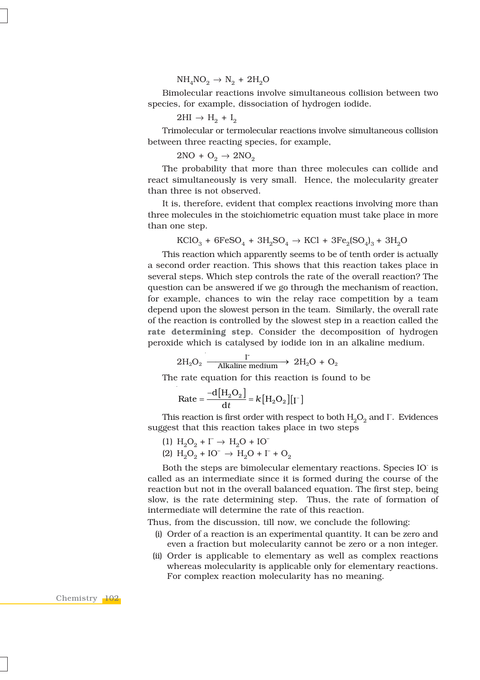$NH<sub>4</sub>NO<sub>2</sub> \rightarrow N<sub>2</sub> + 2H<sub>2</sub>O$ 

Bimolecular reactions involve simultaneous collision between two species, for example, dissociation of hydrogen iodide.

 $2HI \rightarrow H_2 + I_2$ 

Trimolecular or termolecular reactions involve simultaneous collision between three reacting species, for example,

 $2NO + O<sub>2</sub> \rightarrow 2NO<sub>2</sub>$ 

The probability that more than three molecules can collide and react simultaneously is very small. Hence, the molecularity greater than three is not observed.

It is, therefore, evident that complex reactions involving more than three molecules in the stoichiometric equation must take place in more than one step.

$$
\text{KClO}_3 + 6\text{FeSO}_4 + 3\text{H}_2\text{SO}_4 \rightarrow \text{KCl} + 3\text{Fe}_2\text{(SO}_4)_3 + 3\text{H}_2\text{O}
$$

This reaction which apparently seems to be of tenth order is actually a second order reaction. This shows that this reaction takes place in several steps. Which step controls the rate of the overall reaction? The question can be answered if we go through the mechanism of reaction, for example, chances to win the relay race competition by a team depend upon the slowest person in the team. Similarly, the overall rate of the reaction is controlled by the slowest step in a reaction called the **rate determining step**. Consider the decomposition of hydrogen peroxide which is catalysed by iodide ion in an alkaline medium.

$$
2H_2O_2 \xrightarrow{\qquad \qquad I^-} 2H_2O + O_2
$$

The rate equation for this reaction is found to be

$$
\text{Rate} = \frac{-d[H_2O_2]}{dt} = k[H_2O_2][I^-]
$$

This reaction is first order with respect to both  $\mathrm{H}_{2}\mathrm{O}_{2}$  and  $\Gamma$ . Evidences suggest that this reaction takes place in two steps

$$
(1) H2O2 + I- \rightarrow H2O + IO-
$$

$$
(2) H2O2 + IO- \rightarrow H2O + I- + O2
$$

Both the steps are bimolecular elementary reactions. Species IO is called as an intermediate since it is formed during the course of the reaction but not in the overall balanced equation. The first step, being slow, is the rate determining step. Thus, the rate of formation of intermediate will determine the rate of this reaction.

Thus, from the discussion, till now, we conclude the following:

- (i) Order of a reaction is an experimental quantity. It can be zero and even a fraction but molecularity cannot be zero or a non integer.
- (ii) Order is applicable to elementary as well as complex reactions whereas molecularity is applicable only for elementary reactions. For complex reaction molecularity has no meaning.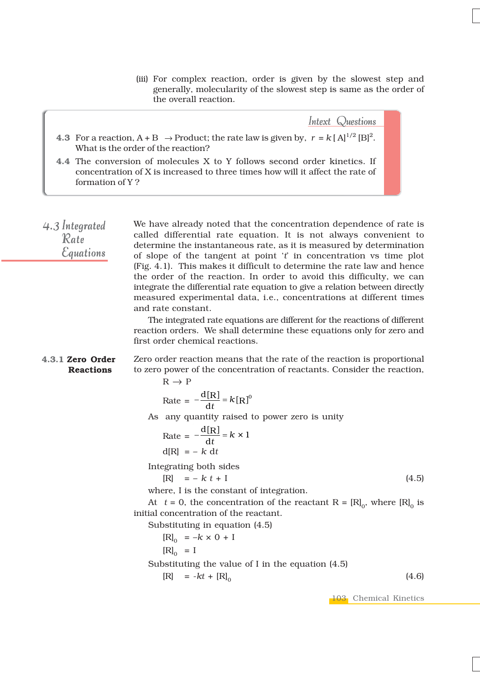(iii) For complex reaction, order is given by the slowest step and generally, molecularity of the slowest step is same as the order of the overall reaction.

Intext Questions

- **4.3** For a reaction, A + B  $\rightarrow$  Product; the rate law is given by,  $r = k [A]^{1/2} [B]^2$ . What is the order of the reaction?
- **4.4** The conversion of molecules X to Y follows second order kinetics. If concentration of X is increased to three times how will it affect the rate of formation of Y ?

We have already noted that the concentration dependence of rate is called differential rate equation. It is not always convenient to determine the instantaneous rate, as it is measured by determination of slope of the tangent at point '*t*' in concentration vs time plot (Fig. 4.1). This makes it difficult to determine the rate law and hence the order of the reaction. In order to avoid this difficulty, we can integrate the differential rate equation to give a relation between directly measured experimental data, i.e., concentrations at different times and rate constant.  $4.3$  Integrated Rate **Equations** 

> The integrated rate equations are different for the reactions of different reaction orders. We shall determine these equations only for zero and first order chemical reactions.

Zero order reaction means that the rate of the reaction is proportional to zero power of the concentration of reactants. Consider the reaction,  $R \rightarrow P$ **4.3.1 Zero Order Reactions**

 $Rate = -\frac{d[R]}{dt} = k[R]^0$ 

As any quantity raised to power zero is unity

$$
Rate = -\frac{d[R]}{dt} = k \times 1
$$

$$
d[R] = -k dt
$$

Integrating both sides

$$
[R] = -k t + I \tag{4.5}
$$

where, I is the constant of integration.

At  $t = 0$ , the concentration of the reactant R =  $[R]_0$ , where  $[R]_0$  is initial concentration of the reactant.

Substituting in equation (4.5)

 $[R]_0 = -k \times 0 + I$ 

 $[R]_0 = I$ 

Substituting the value of I in the equation (4.5)

 $[R] = -kt + [R]_0$  (4.6)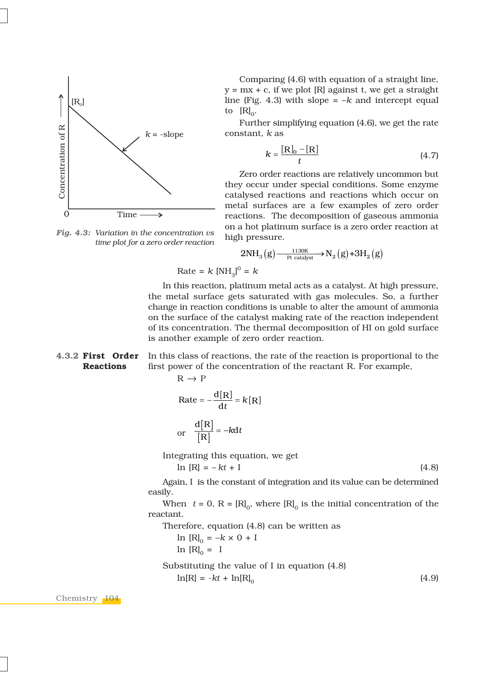

*Fig. 4.3: Variation in the concentration vs*

*time plot for a zero order reaction*

Comparing (4.6) with equation of a straight line,  $y = mx + c$ , if we plot [R] against t, we get a straight line (Fig. 4.3) with slope  $= -k$  and intercept equal to  $[R]_0$ .

Further simplifying equation (4.6), we get the rate constant, *k* as

$$
k = \frac{[\mathbf{R}]_0 - [\mathbf{R}]}{t} \tag{4.7}
$$

Zero order reactions are relatively uncommon but they occur under special conditions. Some enzyme catalysed reactions and reactions which occur on metal surfaces are a few examples of zero order reactions. The decomposition of gaseous ammonia on a hot platinum surface is a zero order reaction at high pressure.



 $Rate = k [NH<sub>3</sub>]$ <sup>0</sup> = k

In this reaction, platinum metal acts as a catalyst. At high pressure, the metal surface gets saturated with gas molecules. So, a further change in reaction conditions is unable to alter the amount of ammonia on the surface of the catalyst making rate of the reaction independent of its concentration. The thermal decomposition of HI on gold surface is another example of zero order reaction.

In this class of reactions, the rate of the reaction is proportional to the first power of the concentration of the reactant R. For example, **4.3.2 First Order Reactions**

$$
R \to P
$$

$$
Rate = -\frac{d[R]}{dt} = k[R]
$$

or 
$$
\frac{d[R]}{[R]} = -kdt
$$

Integrating this equation, we get

$$
\ln[R] = -kt + I \tag{4.8}
$$

Again, I is the constant of integration and its value can be determined easily.

When  $t = 0$ ,  $R = [R]_0$ , where  $[R]_0$  is the initial concentration of the reactant.

Therefore, equation (4.8) can be written as

 $\ln$  [R]<sub>0</sub> = – $k \times 0 + I$  $\ln$  [R]<sub>0</sub> = I

Substituting the value of I in equation (4.8)  
\n
$$
\ln[R] = -kt + \ln[R]_0 \tag{4.9}
$$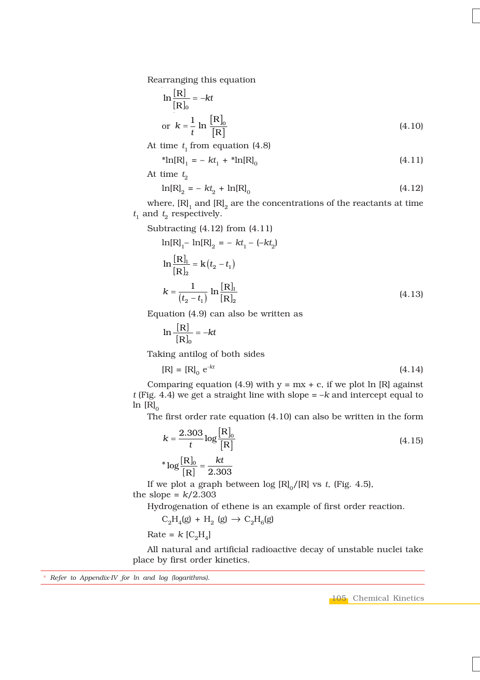Rearranging this equation

$$
\ln\frac{[\mathbf{R}]}{[\mathbf{R}]_0} = -kt
$$
  
or  $k = \frac{1}{t} \ln \frac{[\mathbf{R}]_0}{[\mathbf{R}]}$  (4.10)

At time  $t_1$  from equation (4.8)

 $*ln[R]_1 = -kt_1 + *ln[R]_0$  (4.11)

At time  $t_2$ 

$$
\ln[R]_2 = -kt_2 + \ln[R]_0 \tag{4.12}
$$

where,  $[R]_1$  and  $[R]_2$  are the concentrations of the reactants at time  $t_1$  and  $t_2$  respectively.

Subtracting (4.12) from (4.11)

$$
\ln[R]_1 - \ln[R]_2 = -kt_1 - (-kt_2)
$$
  
\n
$$
\ln\frac{[R]_1}{[R]_2} = k(t_2 - t_1)
$$
  
\n
$$
k = \frac{1}{(t_2 - t_1)} \ln\frac{[R]_1}{[R]_2}
$$
 (4.13)

Equation (4.9) can also be written as

$$
\ln\frac{[R]}{[R]_0} = -kt
$$

Taking antilog of both sides

$$
[R] = [R]_0 e^{-kt}
$$
 (4.14)

Comparing equation (4.9) with  $y = mx + c$ , if we plot ln [R] against *t* (Fig. 4.4) we get a straight line with slope = –*k* and intercept equal to  $\ln[R]_0$ 

The first order rate equation (4.10) can also be written in the form

$$
k = \frac{2.303}{t} \log \frac{[R]_0}{[R]}
$$
  
\*  $\log \frac{[R]_0}{[R]} = \frac{kt}{2.303}$  (4.15)

If we plot a graph between  $log [R]_0/[R]$  vs *t*, (Fig. 4.5), the slope =  $k/2.303$ 

Hydrogenation of ethene is an example of first order reaction.

 $C_2H_4(g) + H_2(g) \to C_2H_6(g)$ 

 $Rate = k [C_2H_4]$ 

All natural and artificial radioactive decay of unstable nuclei take place by first order kinetics.

\* *Refer to Appendix-IV for ln and log (logarithms).*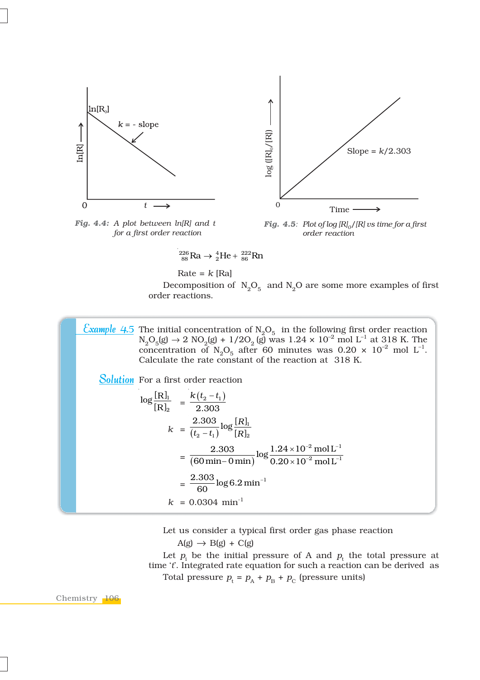

*Fig. 4.4: A plot between ln[R] and t for a first order reaction*



*Fig. 4.5: Plot of log*  $[R]_0/[R]$  *vs time for a first order reaction*

$$
^{226}_{88}\text{Ra} \rightarrow ^{4}_{2}\text{He} + ^{222}_{86}\text{Rn}
$$

Rate = 
$$
k
$$
 [Ra]  
Decomposition of  $N_2O_5$  and  $N_2O$  are some more examples of first order reactions.

The initial concentration of  $N_2O_5$  in the following first order reaction  $N_2O_5(g) \rightarrow 2 \text{ NO}_2(g) + 1/2O_2(g)$  was  $1.24 \times 10^{-2} \text{ mol } L^{-1}$  at 318 K. The concentration of  $N_2O_5$  after 60 minutes was 0.20  $\times$  10<sup>-2</sup> mol L<sup>-1</sup>. Calculate the rate constant of the reaction at 318 K. <u>Example 4.5</u>

Solution For a first order reaction

$$
\log \frac{[R]_1}{[R]_2} = \frac{k(t_2 - t_1)}{2.303}
$$
  
\n
$$
k = \frac{2.303}{(t_2 - t_1)} \log \frac{[R]_1}{[R]_2}
$$
  
\n
$$
= \frac{2.303}{(60 \text{ min} - 0 \text{ min})} \log \frac{1.24 \times 10^{-2} \text{ mol L}^{-1}}{0.20 \times 10^{-2} \text{ mol L}^{-1}}
$$
  
\n
$$
= \frac{2.303}{60} \log 6.2 \text{ min}^{-1}
$$
  
\n
$$
k = 0.0304 \text{ min}^{-1}
$$

Let us consider a typical first order gas phase reaction

 $A(g) \rightarrow B(g) + C(g)$ 

Let  $p_i$  be the initial pressure of A and  $p_t$  the total pressure at time '*t*'. Integrated rate equation for such a reaction can be derived as Total pressure  $p_t = p_A + p_B + p_C$  (pressure units)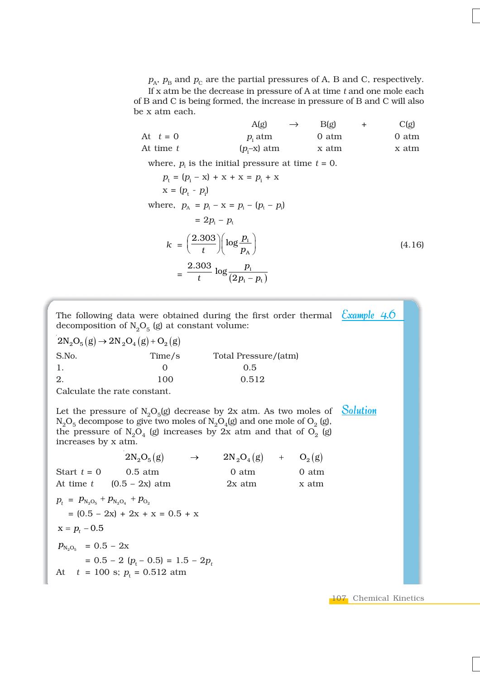$p_A$ ,  $p_B$  and  $p_C$  are the partial pressures of A, B and C, respectively. If x atm be the decrease in pressure of A at time *t* and one mole each of B and C is being formed, the increase in pressure of B and C will also be x atm each.

|           | $A(\mathfrak{g})$   | $\rightarrow$ | $B(\varrho)$ | C(g)  |
|-----------|---------------------|---------------|--------------|-------|
| At $t=0$  | $p_i$ atm           |               | 0 atm        | 0 atm |
| At time t | $(p_{\cdot}-x)$ atm |               | x atm        | x atm |

where,  $p_i$  is the initial pressure at time  $t = 0$ .

$$
p_{t} = (p_{i} - x) + x + x = p_{i} + x
$$
  
\n
$$
x = (p_{t} - p_{i})
$$
  
\nwhere,  $p_{A} = p_{i} - x = p_{i} - (p_{t} - p_{i})$   
\n
$$
= 2p_{i} - p_{t}
$$
  
\n
$$
k = \left(\frac{2.303}{t}\right) \left(\log \frac{p_{i}}{p_{A}}\right)
$$
  
\n
$$
= \frac{2.303}{t} \log \frac{p_{i}}{(2p_{i} - p_{t})}
$$
\n(4.16)

The following data were obtained during the first order thermal *Example 4.*0 decomposition of  $N_2O_5$  (g) at constant volume:

 $2N_2O_5(g) \rightarrow 2N_2O_4(g) + O_2(g)$ S.No. Time/s Total Pressure/(atm) 1. 0 0.5 2. 100 0.512

Calculate the rate constant.

Let the pressure of  $N_2O_5(g)$  decrease by 2x atm. As two moles of Solution  $N_2O_5$  decompose to give two moles of  $N_2O_4(g)$  and one mole of  $O_2(g)$ , the pressure of  $N_2O_4$  (g) increases by 2x atm and that of  $O_2$  (g) increases by x atm.

 $2N_2O_5(g)$   $\rightarrow$   $2N_2O_4(g)$  +  $O_2(g)$ Start  $t = 0$  0.5 atm 0 atm 0 atm At time  $t$  (0.5 – 2x) atm 2x atm  $x \text{ atm}$  $p_t = p_{\text{N}_2\text{O}_5} + p_{\text{N}_2\text{O}_4} + p_{\text{O}_2}$  $=(0.5 - 2x) + 2x + x = 0.5 + x$ 

 $x = p_t - 0.5$ 

 $p_{\text{N}_2\text{O}_5}$  = 0.5 – 2x  $= 0.5 - 2 (p<sub>t</sub> - 0.5) = 1.5 - 2p<sub>t</sub>$ At  $t = 100$  s;  $p_t = 0.512$  atm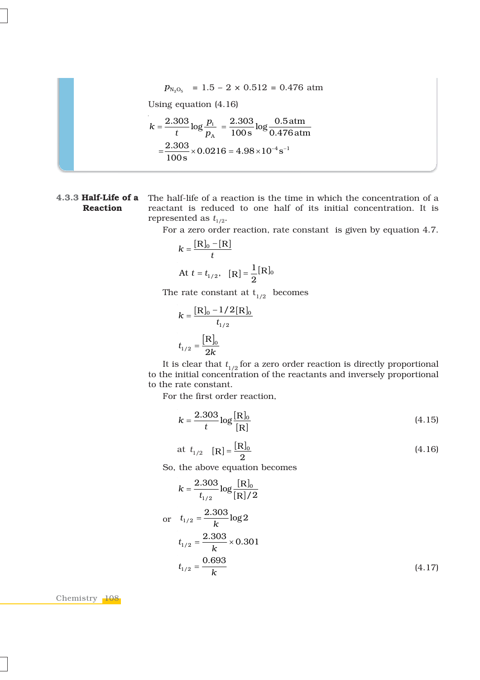$$
p_{\text{N}_2\text{O}_5} = 1.5 - 2 \times 0.512 = 0.476 \text{ atm}
$$

Using equation (4.16)

$$
k = \frac{2.303}{t} \log \frac{p_i}{p_A} = \frac{2.303}{100 \text{ s}} \log \frac{0.5 \text{ atm}}{0.476 \text{ atm}}
$$

$$
= \frac{2.303}{100 \text{ s}} \times 0.0216 = 4.98 \times 10^{-4} \text{ s}^{-1}
$$

## **Reaction**

**4.3.3 Half-Life of a** The half-life of a reaction is the time in which the concentration of a reactant is reduced to one half of its initial concentration. It is represented as  $t_{1/2}$ .

For a zero order reaction, rate constant is given by equation 4.7.

$$
k = \frac{[\mathbf{R}]_0 - [\mathbf{R}]}{t}
$$
  
At  $t = t_{1/2}$ ,  $[\mathbf{R}] = \frac{1}{2} [\mathbf{R}]_0$ 

The rate constant at  $t_{1/2}$  becomes

$$
k = \frac{[\mathbf{R}]_0 - 1/2[\mathbf{R}]_0}{t_{1/2}}
$$

$$
t_{1/2} = \frac{[\mathbf{R}]_0}{2k}
$$

It is clear that  $t_{1/2}$  for a zero order reaction is directly proportional to the initial concentration of the reactants and inversely proportional to the rate constant.

For the first order reaction,

$$
k = \frac{2.303}{t} \log \frac{[\text{R}]_0}{[\text{R}]}
$$
 (4.15)

at 
$$
t_{1/2}
$$
 [R] =  $\frac{[R]_0}{2}$  (4.16)

So, the above equation becomes

$$
k = \frac{2.303}{t_{1/2}} \log \frac{[R]_0}{[R]/2}
$$
  
or  $t_{1/2} = \frac{2.303}{k} \log 2$   
 $t_{1/2} = \frac{2.303}{k} \times 0.301$   
 $t_{1/2} = \frac{0.693}{k}$  (4.17)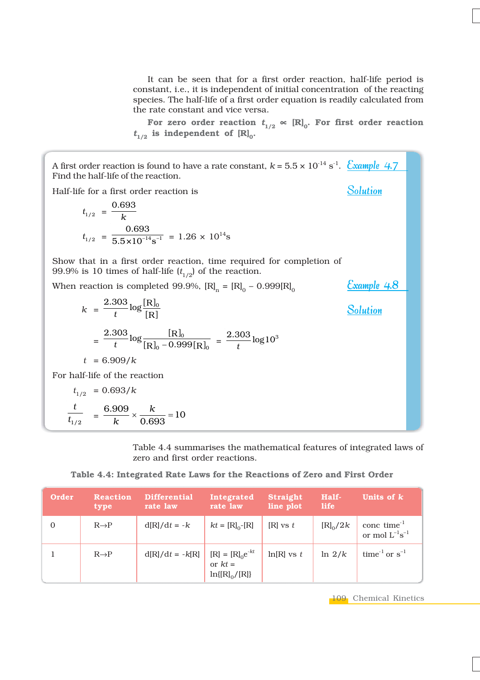It can be seen that for a first order reaction, half-life period is constant, i.e., it is independent of initial concentration of the reacting species. The half-life of a first order equation is readily calculated from the rate constant and vice versa.

For zero order reaction  $t_{1/2} \propto [\mathbf{R}]_0$ . For first order reaction  $t_{1/2}$  is independent of  $[R]_0$ .

A first order reaction is found to have a rate constant,  $k$  = 5.5  $\times$  10<sup>-14</sup> s<sup>-1</sup>. <u>Example 4.7</u> Find the half-life of the reaction. Half-life for a first order reaction is  $\int$ <sup>1</sup>  $\int$ <sup>2</sup>  $\int$ <sup>2</sup>  $\int$ <sup>2</sup>  $\int$ <sup>2</sup>  $\int$ <sup>2</sup>  $\int$ <sup>2</sup>  $\int$ <sup>2</sup>  $\int$ <sup>2</sup>  $\int$ <sup>2</sup>  $\int$ <sup>2</sup>  $\int$ <sup>2</sup>  $\int$ <sup>2</sup>  $\int$ <sup>2</sup>  $\int$ <sup>2</sup>  $\int$ <sup>2</sup>  $\int$ <sup>2</sup>  $\int$ <sup>2</sup>  $\int$ <sup>2</sup>  $\int$ <sup>2</sup>  $\int$ <sup>2</sup>  $\int$ <sup>2</sup>  $\int$ <sup>2</sup>  $\int$ <sup>2</sup>  $\int$ <sup>2</sup>  $\int$ <sup>2</sup>  $\int$ <sup>2</sup>  $\int$ <sup></sup> Solution

$$
t_{1/2} = \frac{0.693}{k}
$$
  

$$
t_{1/2} = \frac{0.693}{5.5 \times 10^{-14} \text{s}^{-1}} = 1.26 \times 10^{14} \text{s}
$$

0.693

Show that in a first order reaction, time required for completion of 99.9% is 10 times of half-life  $(t_{1/2})$  of the reaction.

When reaction is completed 99.9%,  $[R]_n = [R]_0 - 0.999[R]_0$ 

$$
k = \frac{2.303}{t} \log \frac{[R]_0}{[R]}
$$
  
\n
$$
= \frac{2.303}{t} \log \frac{[R]_0}{[R]_0 - 0.999 [R]_0} = \frac{2.303}{t} \log 10^3
$$
  
\n
$$
t = 6.909/k
$$
  
\nFor half-life of the reaction  
\n
$$
t_{1/2} = 0.693/k
$$
  
\n
$$
\frac{t}{t_{1/2}} = \frac{6.909}{k} \times \frac{k}{0.693} = 10
$$

Table 4.4 summarises the mathematical features of integrated laws of zero and first order reactions.

**Table 4.4: Integrated Rate Laws for the Reactions of Zero and First Order**

| Order        | <b>Reaction</b><br>type | <b>Differential</b><br>rate law | Integrated<br>rate law                                 | <b>Straight</b><br>line plot | Half-<br><b>life</b> | Units of k                                           |
|--------------|-------------------------|---------------------------------|--------------------------------------------------------|------------------------------|----------------------|------------------------------------------------------|
| $\mathbf{0}$ | $R\rightarrow P$        | $d[R]/dt = -k$                  | $kt = [R]_0 - [R]$                                     | $[R]$ vs $t$                 | $[R]_0/2k$           | conc time $^{-1}$<br>or mol $L^{-1}$ s <sup>-1</sup> |
|              | $R\rightarrow P$        | $d[R]/dt = -k[R]$               | $[R] = [R]_0 e^{-kt}$<br>or $kt =$<br>$ln[[R]0 / [R]]$ | $ln[R]$ vs t                 | $\ln 2/k$            | time <sup>-1</sup> or $s^{-1}$                       |

109 Chemical Kinetics

Example 4.8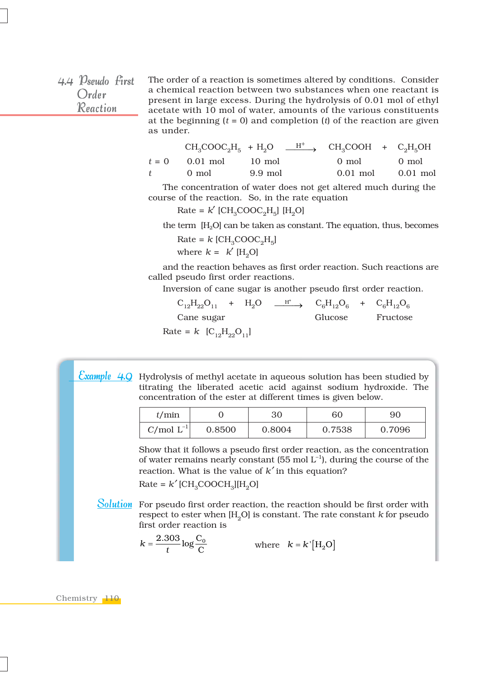4.4  $\mathcal{D}_{seudo}$  first Order Reaction

The order of a reaction is sometimes altered by conditions. Consider a chemical reaction between two substances when one reactant is present in large excess. During the hydrolysis of 0.01 mol of ethyl acetate with 10 mol of water, amounts of the various constituents at the beginning  $(t = 0)$  and completion  $(t)$  of the reaction are given as under.

|                          | $CH_3COOC_2H_5 + H_2O \t H^+ \rightarrow CH_3COOH + C_2H_5OH$ |             |            |
|--------------------------|---------------------------------------------------------------|-------------|------------|
| $t = 0$ 0.01 mol         | 10 mol                                                        | 0 mol 0 mol |            |
| $t \qquad 0 \text{ mol}$ | 9.9 mol                                                       | $0.01$ mol  | $0.01$ mol |

The concentration of water does not get altered much during the course of the reaction. So, in the rate equation

 $Rate = k'$  [CH<sub>2</sub>COOC<sub>2</sub>H<sub>5</sub>] [H<sub>2</sub>O]

the term  $[H_2O]$  can be taken as constant. The equation, thus, becomes

Rate =  $k$  [CH<sub>3</sub>COOC<sub>2</sub>H<sub>5</sub>] where  $k = k'$  [H<sub>2</sub>O]

and the reaction behaves as first order reaction. Such reactions are called pseudo first order reactions.

Inversion of cane sugar is another pseudo first order reaction.

 $C_{12}H_{22}O_{11}$  +  $H_2O \xrightarrow{H^+} C_6H_{12}O_6$  +  $C_6H_{12}O_6$ Cane sugar Glucose Fructose

Rate =  $k$  [C<sub>12</sub>H<sub>22</sub>O<sub>11</sub>]

<mark>Example 4.Q</mark> Hydrolysis of methyl acetate in aqueous solution has been studied by titrating the liberated acetic acid against sodium hydroxide. The concentration of the ester at different times is given below.

| t/min          |        | 30     | 60     | 90     |
|----------------|--------|--------|--------|--------|
| $C/mol L^{-1}$ | 0.8500 | 0.8004 | 0.7538 | 0.7096 |

Show that it follows a pseudo first order reaction, as the concentration of water remains nearly constant (55 mol  $L^{-1}$ ), during the course of the reaction. What is the value of *k*′ in this equation?  $Rate = k'[CH<sub>3</sub>COOCH<sub>3</sub>][H<sub>2</sub>O]$ 

Solution For pseudo first order reaction, the reaction should be first order with respect to ester when  $[H_2O]$  is constant. The rate constant  $k$  for pseudo first order reaction is

 $k = \frac{2.303}{t} \log \frac{C_0}{C}$  where  $k = k' [H_2 O]$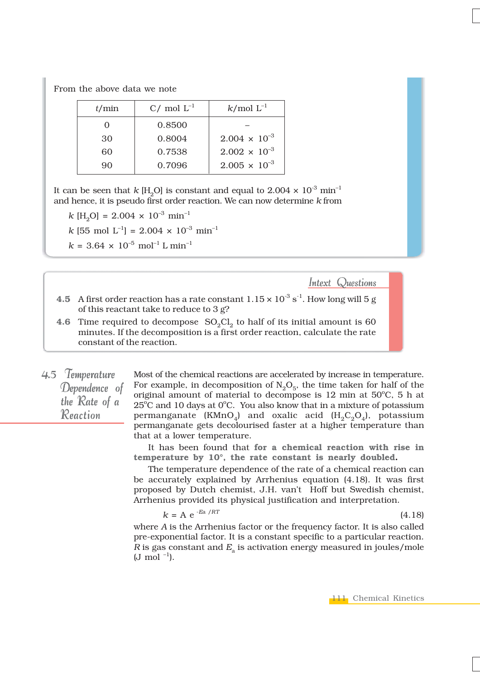From the above data we note

| t/min | C/ mol $L^{-1}$ | $k/mol L^{-1}$         |
|-------|-----------------|------------------------|
|       | 0.8500          |                        |
| 30    | 0.8004          | $2.004 \times 10^{-3}$ |
| 60    | 0.7538          | $2.002 \times 10^{-3}$ |
| 90    | 0.7096          | $2.005 \times 10^{-3}$ |

It can be seen that *k* [H<sub>2</sub>O] is constant and equal to 2.004  $\times$  10<sup>-3</sup> min<sup>-1</sup> and hence, it is pseudo first order reaction. We can now determine *k* from

 $k$ [H<sub>2</sub>O] = 2.004 × 10<sup>-3</sup> min<sup>-1</sup>

$$
k
$$
 [55 mol L<sup>-1</sup>] = 2.004 × 10<sup>-3</sup> min<sup>-1</sup>

 $k = 3.64 \times 10^{-5}$  mol<sup>-1</sup> L min<sup>-1</sup>

Intext Questions

- **4.5** A first order reaction has a rate constant  $1.15 \times 10^{-3}$  s<sup>-1</sup>. How long will 5 g of this reactant take to reduce to 3 g?
- **4.6** Time required to decompose  $SO_2Cl_2$  to half of its initial amount is 60 minutes. If the decomposition is a first order reaction, calculate the rate constant of the reaction.
- 4.5 Temperature Dependence of the Rate of a Reaction

Most of the chemical reactions are accelerated by increase in temperature. For example, in decomposition of  $N_2O_5$ , the time taken for half of the original amount of material to decompose is 12 min at  $50^{\circ}$ C, 5 h at  $25^{\circ}$ C and 10 days at  $0^{\circ}$ C. You also know that in a mixture of potassium permanganate (KMnO<sub>4</sub>) and oxalic acid (H<sub>2</sub>C<sub>2</sub>O<sub>4</sub>), potassium permanganate gets decolourised faster at a higher temperature than that at a lower temperature.

It has been found that **for a chemical reaction with rise in temperature by 10°, the rate constant is nearly doubled.**

The temperature dependence of the rate of a chemical reaction can be accurately explained by Arrhenius equation (4.18). It was first proposed by Dutch chemist, J.H. van't Hoff but Swedish chemist, Arrhenius provided its physical justification and interpretation.

$$
k = A e^{-Ea / RT}
$$
 (4.18)

where *A* is the Arrhenius factor or the frequency factor. It is also called pre-exponential factor. It is a constant specific to a particular reaction.  $R$  is gas constant and  $E<sub>a</sub>$  is activation energy measured in joules/mole  $(J \mod^{-1}).$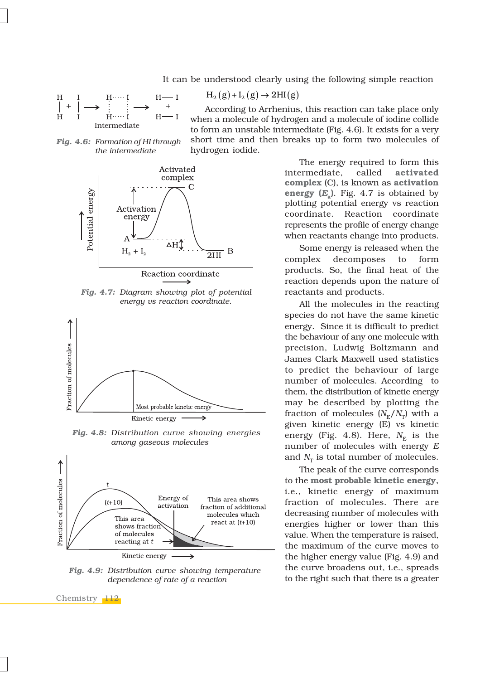It can be understood clearly using the following simple reaction

 $H_2(g) + I_2(g) \to 2HI(g)$ 

$$
\begin{array}{ccc}\nH & I & H \cdots I & H \longrightarrow I \\
H & I & H \cdots I & H \longrightarrow I \\
H & H & H \cdots I & H \longrightarrow I\n\end{array}
$$

According to Arrhenius, this reaction can take place only when a molecule of hydrogen and a molecule of iodine collide to form an unstable intermediate (Fig. 4.6). It exists for a very short time and then breaks up to form two molecules of hydrogen iodide.

*Fig. 4.6: Formation of HI through the intermediate*



*Fig. 4.7: Diagram showing plot of potential energy vs reaction coordinate.*



*Fig. 4.8: Distribution curve showing energies among gaseous molecules*



*Fig. 4.9: Distribution curve showing temperature dependence of rate of a reaction*

Chemistry 112

The energy required to form this intermediate, called **activated complex** (C), is known as **activation energy (***E***a)**. Fig. 4.7 is obtained by plotting potential energy vs reaction coordinate. Reaction coordinate represents the profile of energy change when reactants change into products.

Some energy is released when the complex decomposes to form products. So, the final heat of the reaction depends upon the nature of reactants and products.

All the molecules in the reacting species do not have the same kinetic energy. Since it is difficult to predict the behaviour of any one molecule with precision, Ludwig Boltzmann and James Clark Maxwell used statistics to predict the behaviour of large number of molecules. According to them, the distribution of kinetic energy may be described by plotting the fraction of molecules  $(N_E/N_T)$  with a given kinetic energy (E) vs kinetic energy (Fig. 4.8). Here,  $N<sub>E</sub>$  is the number of molecules with energy *E* and  $N_T$  is total number of molecules.

The peak of the curve corresponds to the **most probable kinetic energy,** i.e., kinetic energy of maximum fraction of molecules. There are decreasing number of molecules with energies higher or lower than this value. When the temperature is raised, the maximum of the curve moves to the higher energy value (Fig. 4.9) and the curve broadens out, i.e., spreads to the right such that there is a greater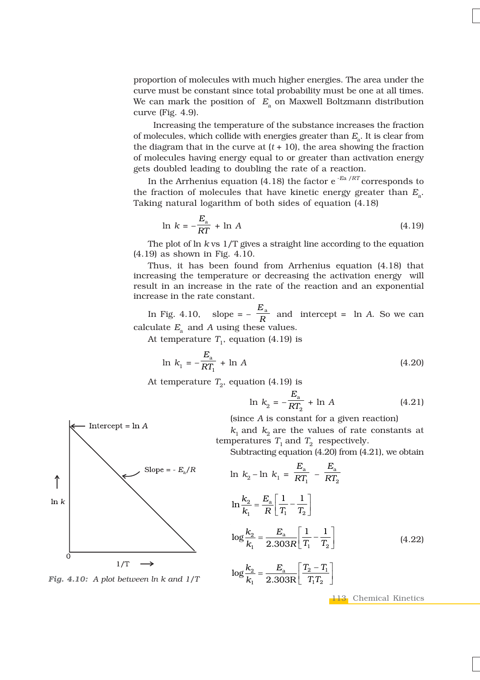proportion of molecules with much higher energies. The area under the curve must be constant since total probability must be one at all times. We can mark the position of  $E_a$  on Maxwell Boltzmann distribution curve (Fig. 4.9).

 Increasing the temperature of the substance increases the fraction of molecules, which collide with energies greater than  $E_a$ . It is clear from the diagram that in the curve at  $(t + 10)$ , the area showing the fraction of molecules having energy equal to or greater than activation energy gets doubled leading to doubling the rate of a reaction.

In the Arrhenius equation (4.18) the factor e -*E*a /*RT* corresponds to the fraction of molecules that have kinetic energy greater than  $E_a$ . Taking natural logarithm of both sides of equation (4.18)

$$
\ln k = -\frac{E_{\rm a}}{RT} + \ln A \tag{4.19}
$$

The plot of ln *k* vs 1/T gives a straight line according to the equation (4.19) as shown in Fig. 4.10.

Thus, it has been found from Arrhenius equation (4.18) that increasing the temperature or decreasing the activation energy will result in an increase in the rate of the reaction and an exponential increase in the rate constant.

In Fig. 4.10, slope =  $-\frac{E_a}{R}$  $\frac{a}{R}$  and intercept = ln *A*. So we can calculate  $E_a$  and *A* using these values.

At temperature  $T_1$ , equation (4.19) is

$$
\ln k_1 = -\frac{E_a}{RT_1} + \ln A \tag{4.20}
$$

At temperature  $T_2$ , equation (4.19) is

$$
\ln k_2 = -\frac{E_a}{RT_2} + \ln A \tag{4.21}
$$

(since *A* is constant for a given reaction)

 $k_1$  and  $k_2$  are the values of rate constants at temperatures  $T_1$  and  $T_2$  respectively.

Subtracting equation (4.20) from (4.21), we obtain

$$
\ln k_2 - \ln k_1 = \frac{E_a}{RT_1} - \frac{E_a}{RT_2}
$$
\n
$$
\ln \frac{k_2}{k_1} = \frac{E_a}{R} \left[ \frac{1}{T_1} - \frac{1}{T_2} \right]
$$
\n
$$
\log \frac{k_2}{k_1} = \frac{E_a}{2.303R} \left[ \frac{1}{T_1} - \frac{1}{T_2} \right]
$$
\n
$$
\log \frac{k_2}{k_1} = \frac{E_a}{2.303R} \left[ \frac{T_2 - T_1}{T_1 T_2} \right]
$$
\n(4.22)



*Fig. 4.10: A plot between ln k and 1/T*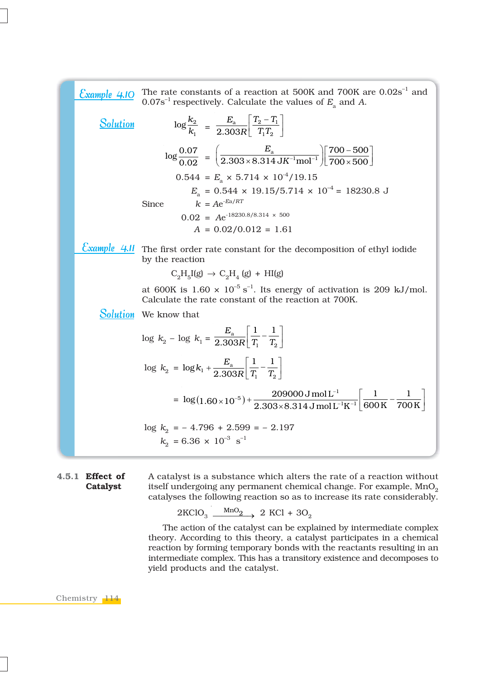| Example 4.10    | The rate constants of a reaction at 500K and 700K are $0.02s^{-1}$ and<br>$0.07s^{-1}$ respectively. Calculate the values of $E_a$ and A.                                                  |
|-----------------|--------------------------------------------------------------------------------------------------------------------------------------------------------------------------------------------|
| <b>Solution</b> | $\log \frac{k_2}{k} = \frac{E_a}{2.303R} \left  \frac{T_2 - T_1}{TT} \right $                                                                                                              |
|                 | $\log \frac{0.07}{0.02} = \left( \frac{E_{\rm a}}{2.303 \times 8.314 \, {\rm J} \text{K}^{-1} \text{mol}^{-1}} \right) \left[ \frac{700 - 500}{700 \times 500} \right]$                    |
|                 | $0.544 = E_a \times 5.714 \times 10^{-4} / 19.15$<br>$E_{\rm a}$ = 0.544 × 19.15/5.714 × 10 <sup>-4</sup> = 18230.8 J                                                                      |
|                 | $k = Ae^{-Ea/RT}$<br><b>Since</b>                                                                                                                                                          |
|                 | $0.02$ = Ae <sup>-18230.8</sup> /8.314 × 500                                                                                                                                               |
|                 | $A = 0.02/0.012 = 1.61$                                                                                                                                                                    |
|                 | $\frac{\text{Example 4.1}}{\text{Number 1}}$ The first order rate constant for the decomposition of ethyl iodide<br>by the reaction                                                        |
|                 | $C_2H_{\rm g}I(g) \rightarrow C_2H_{\rm a}(g) + HI(g)$                                                                                                                                     |
|                 | at 600K is $1.60 \times 10^{-5}$ s <sup>-1</sup> . Its energy of activation is 209 kJ/mol.<br>Calculate the rate constant of the reaction at 700K.                                         |
|                 | <b>Solution</b> We know that                                                                                                                                                               |
|                 | $\log\,k_{2}-\log\,k_{1}=\frac{E_{\rm a}}{2.303R}\Bigl[\frac{1}{T}-\frac{1}{T}\Bigl]$                                                                                                      |
|                 | $\log k_2 = \log k_1 + \frac{E_{\rm a}}{2.303R} \left[ \frac{1}{T} - \frac{1}{T} \right]$                                                                                                  |
|                 | $= \log(1.60 \times 10^{-5}) + \frac{209000 \text{ J mol L}^{-1}}{2.303 \times 8.314 \text{ J mol L}^{-1} \text{K}^{-1}} \left[ \frac{1}{600 \text{ K}} - \frac{1}{700 \text{ K}} \right]$ |
|                 | $\log k_2 = -4.796 + 2.599 = -2.197$<br>$k_0 = 6.36 \times 10^{-3} \text{ s}^{-1}$                                                                                                         |

**4.5.1 Effect of Catalyst**

A catalyst is a substance which alters the rate of a reaction without itself undergoing any permanent chemical change. For example,  $MnO<sub>2</sub>$ catalyses the following reaction so as to increase its rate considerably.

 $2KClO_3 \xrightarrow{MnO_2} 2 KCl + 3O_2$ 

The action of the catalyst can be explained by intermediate complex theory. According to this theory, a catalyst participates in a chemical reaction by forming temporary bonds with the reactants resulting in an intermediate complex. This has a transitory existence and decomposes to yield products and the catalyst.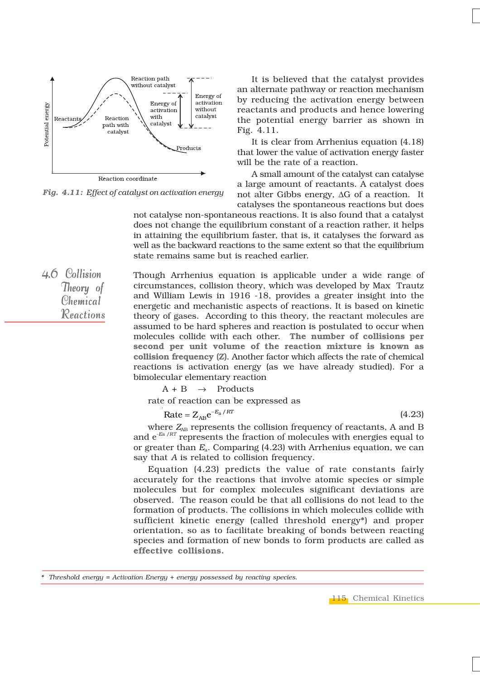

*Fig. 4.11: Effect of catalyst on activation energy*

It is believed that the catalyst provides an alternate pathway or reaction mechanism by reducing the activation energy between reactants and products and hence lowering the potential energy barrier as shown in Fig. 4.11.

It is clear from Arrhenius equation (4.18) that lower the value of activation energy faster will be the rate of a reaction.

A small amount of the catalyst can catalyse a large amount of reactants. A catalyst does not alter Gibbs energy, ΔG of a reaction. It catalyses the spontaneous reactions but does

not catalyse non-spontaneous reactions. It is also found that a catalyst does not change the equilibrium constant of a reaction rather, it helps in attaining the equilibrium faster, that is, it catalyses the forward as well as the backward reactions to the same extent so that the equilibrium state remains same but is reached earlier.

 $4.6$  Collision Theory of Chemical Reactions Reactions

Though Arrhenius equation is applicable under a wide range of circumstances, collision theory, which was developed by Max Trautz and William Lewis in 1916 -18, provides a greater insight into the energetic and mechanistic aspects of reactions. It is based on kinetic theory of gases. According to this theory, the reactant molecules are assumed to be hard spheres and reaction is postulated to occur when molecules collide with each other. **The number of collisions per second per unit volume of the reaction mixture is known as collision frequency (Z)**. Another factor which affects the rate of chemical reactions is activation energy (as we have already studied). For a bimolecular elementary reaction

 $A + B \rightarrow$  Products

rate of reaction can be expressed as

$$
\text{Rate} = Z_{AB} e^{-E_a/RT} \tag{4.23}
$$

where  $Z_{AB}$  represents the collision frequency of reactants, A and B and  $e^{-Ea/RT}$  represents the fraction of molecules with energies equal to or greater than  $E_a$ . Comparing (4.23) with Arrhenius equation, we can say that *A* is related to collision frequency.

Equation (4.23) predicts the value of rate constants fairly accurately for the reactions that involve atomic species or simple molecules but for complex molecules significant deviations are observed. The reason could be that all collisions do not lead to the formation of products. The collisions in which molecules collide with sufficient kinetic energy (called threshold energy\*) and proper orientation, so as to facilitate breaking of bonds between reacting species and formation of new bonds to form products are called as **effective collisions.**

*\* Threshold energy = Activation Energy + energy possessed by reacting species.*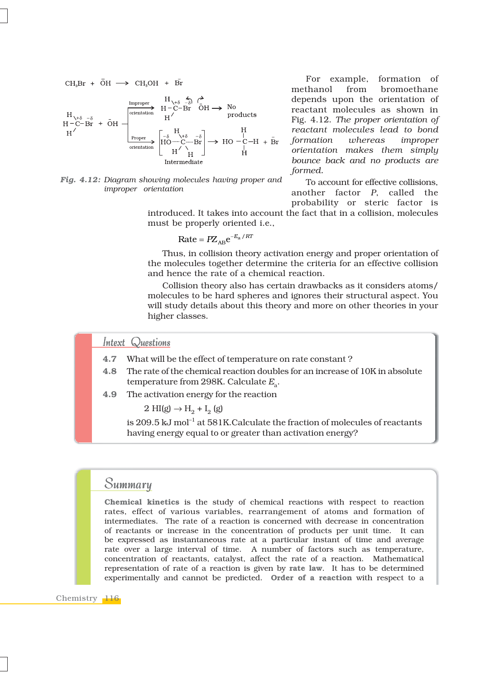$$
\begin{array}{ccc}\nCH_3Br & + & \overline{O}H & \longrightarrow & CH_3OH & + & \overline{Br} \\
& & & H_{\sqrt{+}\delta} & \xrightarrow{-\delta} & \xrightarrow{\mathbf{F}} \\
H_{\sqrt{+}\delta} & -\delta & & H^{\prime} & \longrightarrow & \mathbf{No} \\
H^-\text{C}-\text{Br} & + & \overline{O}H & \longrightarrow & \mathbf{H}^{\prime} & \longrightarrow & \mathbf{No} \\
H^{\prime} & & & H^{\prime} & & \longrightarrow & \mathbf{Moducts} \\
H^{\prime} & & & \xrightarrow{\text{Proper}} & \begin{bmatrix} H_{\delta} & -\delta \\ H_{\delta} & -\text{C} & -\text{Br} \\ H_{\delta} & -\text{C} & -\text{Br} \\ H^{\prime} & H \end{bmatrix} \longrightarrow & \begin{bmatrix} H_{\delta} & H_{\delta} & \text{C} \\ H_{\delta} & -\text{C} & H \\ H^{\prime} & H \end{bmatrix} \longrightarrow & \begin{bmatrix} H_{\delta} & H_{\delta} & \text{C} \\ H_{\delta} & -\text{C} & H \\ H_{\delta} & H \end{bmatrix} \longrightarrow & \begin{bmatrix} H_{\delta} & H_{\delta} & \text{C} \\ H_{\delta} & -\text{C} & H \\ H_{\delta} & H \end{bmatrix} \longrightarrow & \begin{bmatrix} H_{\delta} & H_{\delta} & \text{C} \\ H_{\delta} & H_{\delta} & H \end{bmatrix} \longrightarrow & \begin{bmatrix} H_{\delta} & H_{\delta} & \text{C} \\ H_{\delta} & H_{\delta} & H \end{bmatrix} \longrightarrow & \begin{bmatrix} H_{\delta} & H_{\delta} & \text{C} \\ H_{\delta} & H_{\delta} & H \end{bmatrix} \longrightarrow & \begin{bmatrix} H_{\delta} & H_{\delta} & \text{C} \\ H_{\delta} & H_{\delta} & H \end{bmatrix} \longrightarrow & \begin{bmatrix} H_{\delta} & H_{\delta} & \text{C} \\ H_{\delta} & H_{\delta} & H \end{bmatrix} \longrightarrow & \begin{bmatrix} H_{\delta} & H_{\delta} & \text{C} \\ H_{\delta} & H_{\delta} & H \end{bmatrix} \longrightarrow & \begin{bmatrix} H_{\delta} & H_{\delta} & \text{C} \\ H_{\delta} & H_{\delta} & H \end{bmatrix} \longrightarrow & \begin{bmatrix} H
$$

*Fig. 4.12: Diagram showing molecules having proper and improper orientation*

For example, formation of methanol from bromoethane depends upon the orientation of reactant molecules as shown in Fig. 4.12. *The proper orientation of reactant molecules lead to bond formation whereas improper orientation makes them simply bounce back and no products are formed.*

To account for effective collisions, another factor *P*, called the probability or steric factor is

introduced. It takes into account the fact that in a collision, molecules must be properly oriented i.e.,

$$
Rate = PZ_{AB}e^{-E_a/RT}
$$

Thus, in collision theory activation energy and proper orientation of the molecules together determine the criteria for an effective collision and hence the rate of a chemical reaction.

Collision theory also has certain drawbacks as it considers atoms/ molecules to be hard spheres and ignores their structural aspect. You will study details about this theory and more on other theories in your higher classes.

#### Intext Questions

- **4.7** What will be the effect of temperature on rate constant ?
- **4.8** The rate of the chemical reaction doubles for an increase of 10K in absolute temperature from 298K. Calculate  $E_a$ .
- **4.9** The activation energy for the reaction

 $2 \text{ HI(g)} \rightarrow H_2 + I_2$  (g)

is 209.5 kJ mol<sup>-1</sup> at 581K.Calculate the fraction of molecules of reactants having energy equal to or greater than activation energy?

### Summary

**Chemical kinetics** is the study of chemical reactions with respect to reaction rates, effect of various variables, rearrangement of atoms and formation of intermediates. The rate of a reaction is concerned with decrease in concentration of reactants or increase in the concentration of products per unit time. It can be expressed as instantaneous rate at a particular instant of time and average rate over a large interval of time. A number of factors such as temperature, concentration of reactants, catalyst, affect the rate of a reaction. Mathematical representation of rate of a reaction is given by **rate law**. It has to be determined experimentally and cannot be predicted. **Order of a reaction** with respect to a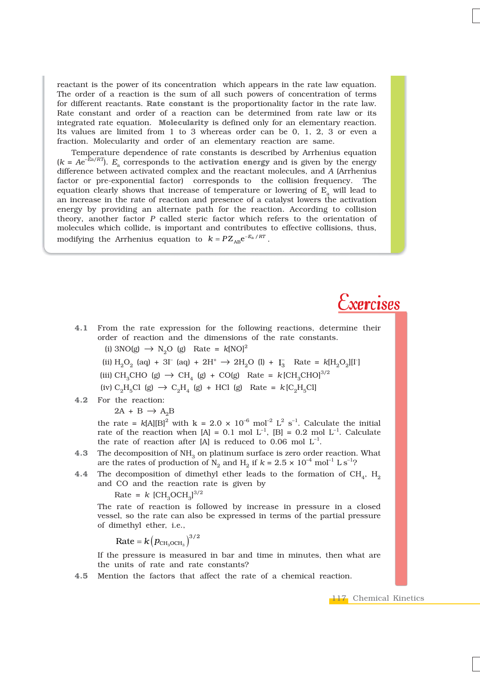reactant is the power of its concentration which appears in the rate law equation. The order of a reaction is the sum of all such powers of concentration of terms for different reactants. **Rate constant** is the proportionality factor in the rate law. Rate constant and order of a reaction can be determined from rate law or its integrated rate equation. **Molecularity** is defined only for an elementary reaction. Its values are limited from 1 to 3 whereas order can be 0, 1, 2, 3 or even a fraction. Molecularity and order of an elementary reaction are same.

Temperature dependence of rate constants is described by Arrhenius equation  $(k = Ae^{-\hat{E}a/RT})$ .  $E_a$  corresponds to the **activation energy** and is given by the energy difference between activated complex and the reactant molecules, and *A* (Arrhenius factor or pre-exponential factor) corresponds to the collision frequency. The equation clearly shows that increase of temperature or lowering of  $E<sub>a</sub>$  will lead to an increase in the rate of reaction and presence of a catalyst lowers the activation energy by providing an alternate path for the reaction. According to collision theory, another factor *P* called steric factor which refers to the orientation of molecules which collide, is important and contributes to effective collisions, thus, modifying the Arrhenius equation to  $k = P Z_{AB} e^{-E_a / RT}$ .

### $Exercises$

- **4.1** From the rate expression for the following reactions, determine their order of reaction and the dimensions of the rate constants. (i)  $3NO(g) \rightarrow N_2O$  (g) Rate =  $k[NO]^2$ 
	-
	- (ii)  $H_2O_2$  (aq) + 3I<sup>–</sup> (aq) + 2H<sup>+</sup>  $\rightarrow$  2H<sub>2</sub>O (l) + I<sub>3</sub><sup>–</sup> Rate =  $k[H_2O_2][I^{\dagger}]$
	- (iii) CH<sub>3</sub>CHO (g)  $\rightarrow$  CH<sub>4</sub> (g) + CO(g) Rate =  $k$ [CH<sub>3</sub>CHO]<sup>3/2</sup>
	- (iv)  $C_2H_5Cl$  (g)  $\rightarrow C_2H_4$  (g) + HCl (g) Rate =  $k[C_2H_5Cl]$
- **4.2** For the reaction:

 $2A + B \rightarrow A_2B$ 

the rate =  $k[A][B]^2$  with k = 2.0 × 10<sup>-6</sup> mol<sup>-2</sup> L<sup>2</sup> s<sup>-1</sup>. Calculate the initial rate of the reaction when  $[A] = 0.1$  mol  $L^{-1}$ ,  $[B] = 0.2$  mol  $L^{-1}$ . Calculate the rate of reaction after [A] is reduced to 0.06 mol  $L^{-1}$ .

- **4.3** The decomposition of NH<sub>3</sub> on platinum surface is zero order reaction. What are the rates of production of N<sub>2</sub> and H<sub>2</sub> if  $k = 2.5 \times 10^{-4}$  mol<sup>-1</sup> L s<sup>-1</sup>?
- **4.4** The decomposition of dimethyl ether leads to the formation of  $CH_4$ ,  $H_2$ and CO and the reaction rate is given by

 $Rate = k [CH_3OCH_3]^{3/2}$ 

The rate of reaction is followed by increase in pressure in a closed vessel, so the rate can also be expressed in terms of the partial pressure of dimethyl ether, i.e.,

 $\text{Rate} = k \big( p_{\text{CH}_3\text{OCH}_3} \big)^{3/2}$ 

If the pressure is measured in bar and time in minutes, then what are the units of rate and rate constants?

**4.5** Mention the factors that affect the rate of a chemical reaction.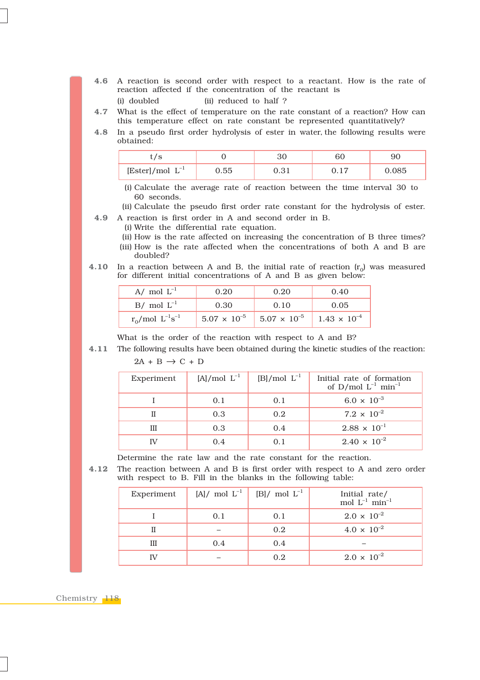- **4.6** A reaction is second order with respect to a reactant. How is the rate of reaction affected if the concentration of the reactant is
	- (i) doubled (ii) reduced to half ?
- **4.7** What is the effect of temperature on the rate constant of a reaction? How can this temperature effect on rate constant be represented quantitatively?
- **4.8** In a pseudo first order hydrolysis of ester in water, the following results were obtained:

| ◡                                   |      |    | u     |
|-------------------------------------|------|----|-------|
| $[{\rm Ester}]/\text{mol}$ $L^{-1}$ | 0.55 | റാ | J.085 |

(i) Calculate the average rate of reaction between the time interval 30 to 60 seconds.

(ii) Calculate the pseudo first order rate constant for the hydrolysis of ester. **4.9** A reaction is first order in A and second order in B.

- (i) Write the differential rate equation.
- (ii) How is the rate affected on increasing the concentration of B three times? (iii) How is the rate affected when the concentrations of both A and B are doubled?
- **4.10** In a reaction between A and B, the initial rate of reaction  $(r_0)$  was measured for different initial concentrations of A and B as given below:

| A/ mol $L^{-1}$           | 0.20                  | 0.20                  | 0.40                  |
|---------------------------|-----------------------|-----------------------|-----------------------|
| $B/$ mol $L^{-1}$         | 0.30                  | 0.10                  | 0.05                  |
| $r_0$ /mol $L^{-1}s^{-1}$ | $5.07 \times 10^{-5}$ | $5.07 \times 10^{-5}$ | $1.43 \times 10^{-4}$ |

What is the order of the reaction with respect to A and B?

**4.11** The following results have been obtained during the kinetic studies of the reaction:  $2A + B \rightarrow C + D$ 

| Experiment | $[A]$ /mol $L^{-1}$ | $[B]/\text{mol}$ $L^{-1}$ | Initial rate of formation<br>of D/mol $L^{-1}$ min <sup>-1</sup> |
|------------|---------------------|---------------------------|------------------------------------------------------------------|
|            | 0.1                 | 0.1                       | $6.0 \times 10^{-3}$                                             |
|            | 0.3                 | 0.2                       | $7.2 \times 10^{-2}$                                             |
| Ш          | 0.3                 | 0.4                       | $2.88 \times 10^{-1}$                                            |
|            | 0.4                 |                           | $2.40 \times 10^{-2}$                                            |

Determine the rate law and the rate constant for the reaction.

**4.12** The reaction between A and B is first order with respect to A and zero order with respect to B. Fill in the blanks in the following table:

| Experiment |     | $[A] / \text{ mol } L^{-1}$ [B]/ mol $L^{-1}$ | Initial rate/<br>mol $L^{-1}$ min <sup>-1</sup> |
|------------|-----|-----------------------------------------------|-------------------------------------------------|
|            | 0.1 | 0.1                                           | $2.0 \times 10^{-2}$                            |
|            |     | 0.2                                           | $4.0 \times 10^{-2}$                            |
| Ш          | 0.4 | 0.4                                           |                                                 |
|            |     | 0.2                                           | $2.0 \times 10^{-2}$                            |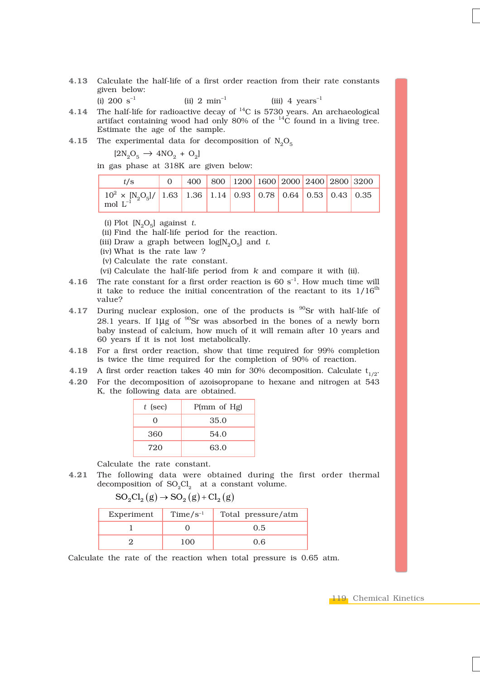- **4.13** Calculate the half-life of a first order reaction from their rate constants given below:
	- (i)  $200 \text{ s}^{-1}$  (ii)  $2 \text{ min}^{-1}$  (iii)  $4 \text{ years}^{-1}$
- **4.14** The half-life for radioactive decay of 14C is 5730 years. An archaeological artifact containing wood had only 80% of the  $^{14}$ C found in a living tree. Estimate the age of the sample.

**4.15** The experimental data for decomposition of  $N_2O_5$ 

 $[2\mathrm{N}_2\mathrm{O}_5 \rightarrow 4\mathrm{NO}_2^\mathrm{}+ \mathrm{O}_2]$ 

in gas phase at 318K are given below:

| t/s                                                                                     |  |  |  |  | 0 400 800 1200 1600 2000 2400 2800 3200 |
|-----------------------------------------------------------------------------------------|--|--|--|--|-----------------------------------------|
| $10^2$ × [N <sub>2</sub> O <sub>5</sub> ]/ 1.63 1.36 1.14 0.93 0.78 0.64 0.53 0.43 0.35 |  |  |  |  |                                         |

(i) Plot  $[N_2O_5]$  against *t*.

(ii) Find the half-life period for the reaction.

(iii) Draw a graph between  $log[N_2O_5]$  and *t*.

(iv) What is the rate law ?

(v) Calculate the rate constant.

(vi) Calculate the half-life period from *k* and compare it with (ii).

- **4.16** The rate constant for a first order reaction is 60 s<sup>-1</sup>. How much time will it take to reduce the initial concentration of the reactant to its  $1/16^{th}$ value?
- 4.17 During nuclear explosion, one of the products is <sup>90</sup>Sr with half-life of 28.1 years. If 1µg of  $90$ Sr was absorbed in the bones of a newly born baby instead of calcium, how much of it will remain after 10 years and 60 years if it is not lost metabolically.
- **4.18** For a first order reaction, show that time required for 99% completion is twice the time required for the completion of 90% of reaction.
- **4.19** A first order reaction takes 40 min for 30% decomposition. Calculate  $t_{1/2}$ .
- **4.20** For the decomposition of azoisopropane to hexane and nitrogen at 543 K, the following data are obtained.

| $t$ (sec) | P(mm of Hg) |  |  |
|-----------|-------------|--|--|
| O         | 35.0        |  |  |
| 360       | 54.0        |  |  |
| 720       | 63.0        |  |  |

Calculate the rate constant.

**4.21** The following data were obtained during the first order thermal decomposition of  $SO_2Cl_2$  at a constant volume.

 $SO_2Cl_2(g) \rightarrow SO_2(g) + Cl_2(g)$ 

| Experiment | $Time/s^{-1}$ | Total pressure/atm |
|------------|---------------|--------------------|
|            |               | 0.5                |
|            | 100           | 0.6                |

Calculate the rate of the reaction when total pressure is 0.65 atm.